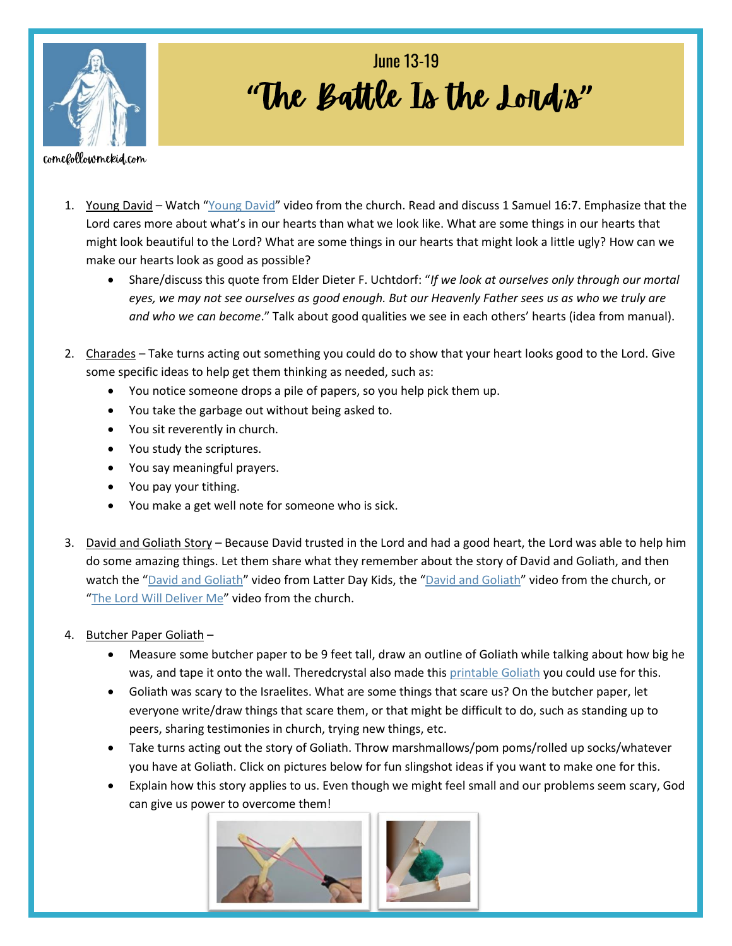

## "The Battle Is the Lond<sub>'s</sub>" **June 13-19**

comefollowmekid.com

- 1. Young David Watch "[Young David](https://abn.churchofjesuschrist.org/study/manual/old-testament-stories-2022/young-david?lang=eng)" video from the church. Read and discuss 1 Samuel 16:7. Emphasize that the Lord cares more about what's in our hearts than what we look like. What are some things in our hearts that might look beautiful to the Lord? What are some things in our hearts that might look a little ugly? How can we make our hearts look as good as possible?
	- Share/discuss this quote from Elder Dieter F. Uchtdorf: "*If we look at ourselves only through our mortal eyes, we may not see ourselves as good enough. But our Heavenly Father sees us as who we truly are and who we can become*." Talk about good qualities we see in each others' hearts (idea from manual).
- 2. Charades Take turns acting out something you could do to show that your heart looks good to the Lord. Give some specific ideas to help get them thinking as needed, such as:
	- You notice someone drops a pile of papers, so you help pick them up.
	- You take the garbage out without being asked to.
	- You sit reverently in church.
	- You study the scriptures.
	- You say meaningful prayers.
	- You pay your tithing.
	- You make a get well note for someone who is sick.
- 3. David and Goliath Story Because David trusted in the Lord and had a good heart, the Lord was able to help him do some amazing things. Let them share what they remember about the story of David and Goliath, and then watch the "[David and Goliath](https://abn.churchofjesuschrist.org/study/manual/old-testament-stories-2022/david-and-goliath?lang=eng)" video from Latter Day Kids, the "David and Goliath" video from the church, or "[The Lord Will Deliver Me](https://www.youtube.com/watch?v=GWLk9HpLgrM)" video from the church.
- 4. Butcher Paper Goliath
	- Measure some butcher paper to be 9 feet tall, draw an outline of Goliath while talking about how big he was, and tape it onto the wall. Theredcrystal also made this [printable Goliath](https://www.theredcrystal.org/post/come-follow-me-for-primary-2022-free-lds-primary-lesson-june-13-19-1-samuel-8-10-13) you could use for this.
	- Goliath was scary to the Israelites. What are some things that scare us? On the butcher paper, let everyone write/draw things that scare them, or that might be difficult to do, such as standing up to peers, sharing testimonies in church, trying new things, etc.
	- Take turns acting out the story of Goliath. Throw marshmallows/pom poms/rolled up socks/whatever you have at Goliath. Click on pictures below for fun slingshot ideas if you want to make one for this.
	- Explain how this story applies to us. Even though we might feel small and our problems seem scary, God can give us p[ower to overcome them!](https://www.youtube.com/watch?v=6wXqlJVw03U)

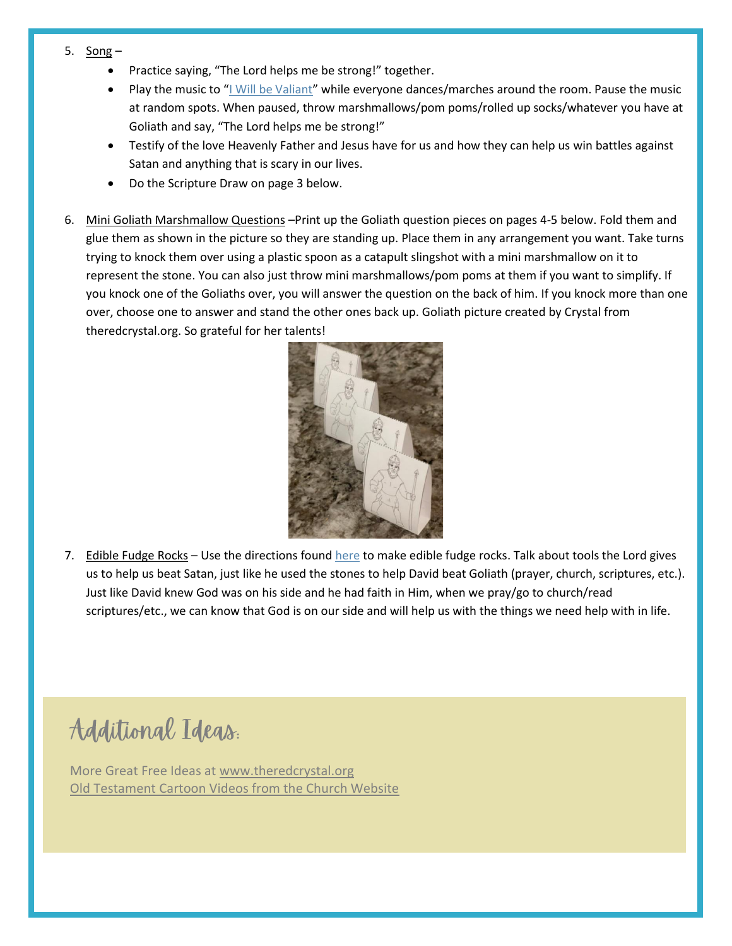- 5.  $Song -$ 
	- Practice saying, "The Lord helps me be strong!" together.
	- Play the music to "[I Will be Valiant](https://www.youtube.com/watch?v=MW2WI6sQ68c)" while everyone dances/marches around the room. Pause the music at random spots. When paused, throw marshmallows/pom poms/rolled up socks/whatever you have at Goliath and say, "The Lord helps me be strong!"
	- Testify of the love Heavenly Father and Jesus have for us and how they can help us win battles against Satan and anything that is scary in our lives.
	- Do the Scripture Draw on page 3 below.
- 6. Mini Goliath Marshmallow Questions –Print up the Goliath question pieces on pages 4-5 below. Fold them and glue them as shown in the picture so they are standing up. Place them in any arrangement you want. Take turns trying to knock them over using a plastic spoon as a catapult slingshot with a mini marshmallow on it to represent the stone. You can also just throw mini marshmallows/pom poms at them if you want to simplify. If you knock one of the Goliaths over, you will answer the question on the back of him. If you knock more than one over, choose one to answer and stand the other ones back up. Goliath picture created by Crystal from theredcrystal.org. So grateful for her talents!



7. Edible Fudge Rocks - Use the directions foun[d here](https://hungryhappenings.com/my-dad-rocks-edible-fudge-rocks-for/) to make edible fudge rocks. Talk about tools the Lord gives us to help us beat Satan, just like he used the stones to help David beat Goliath (prayer, church, scriptures, etc.). Just like David knew God was on his side and he had faith in Him, when we pray/go to church/read scriptures/etc., we can know that God is on our side and will help us with the things we need help with in life.

Additional Ideas.

More Great Free Ideas at [www.theredcrystal.org](http://www.theredcrystal.org/) [Old Testament Cartoon Videos from the Church Website](https://www.churchofjesuschrist.org/study/manual/old-testament-stories-2022?lang=eng)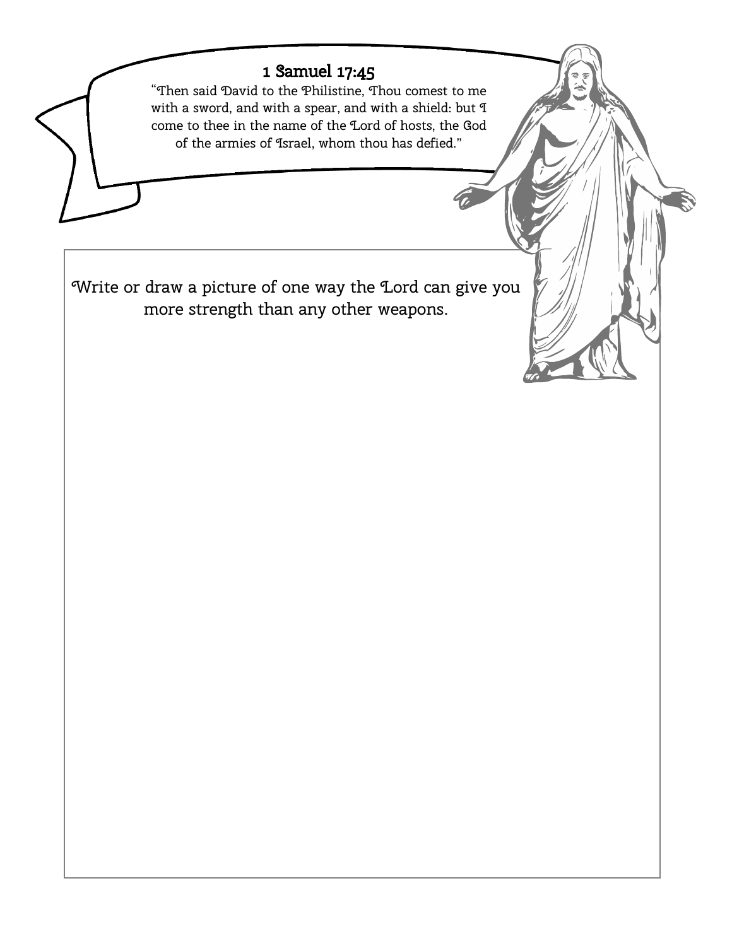## 1 Samuel 17:45

"Then said David to the Philistine, Thou comest to me with a sword, and with a spear, and with a shield: but I come to thee in the name of the Lord of hosts, the God of the armies of Israel, whom thou has defied."

Write or draw a picture of one way the Lord can give you more strength than any other weapons.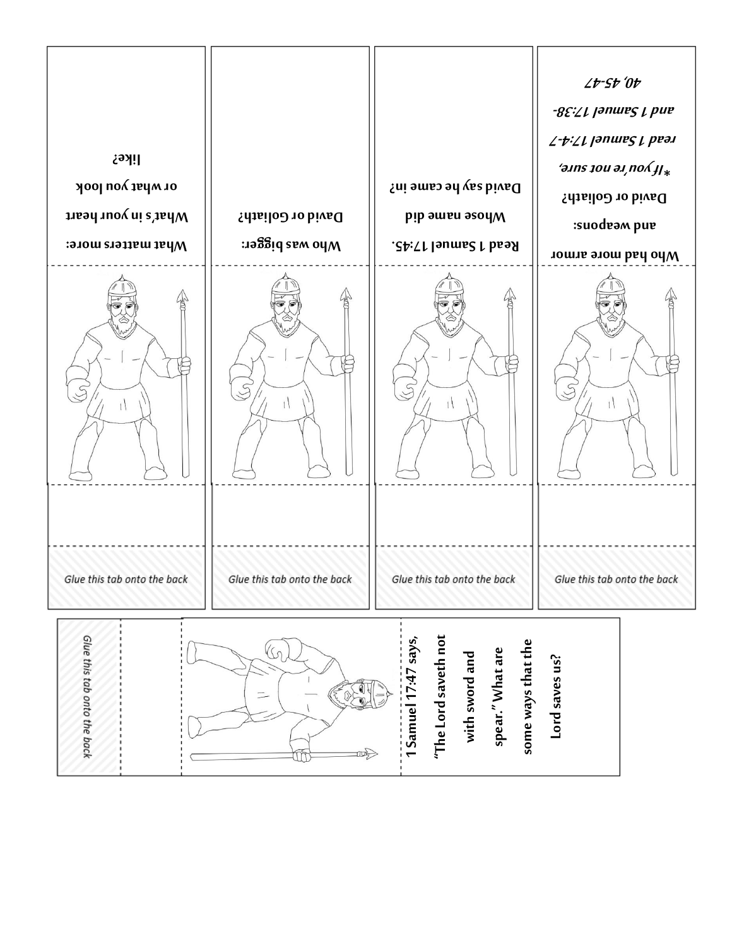